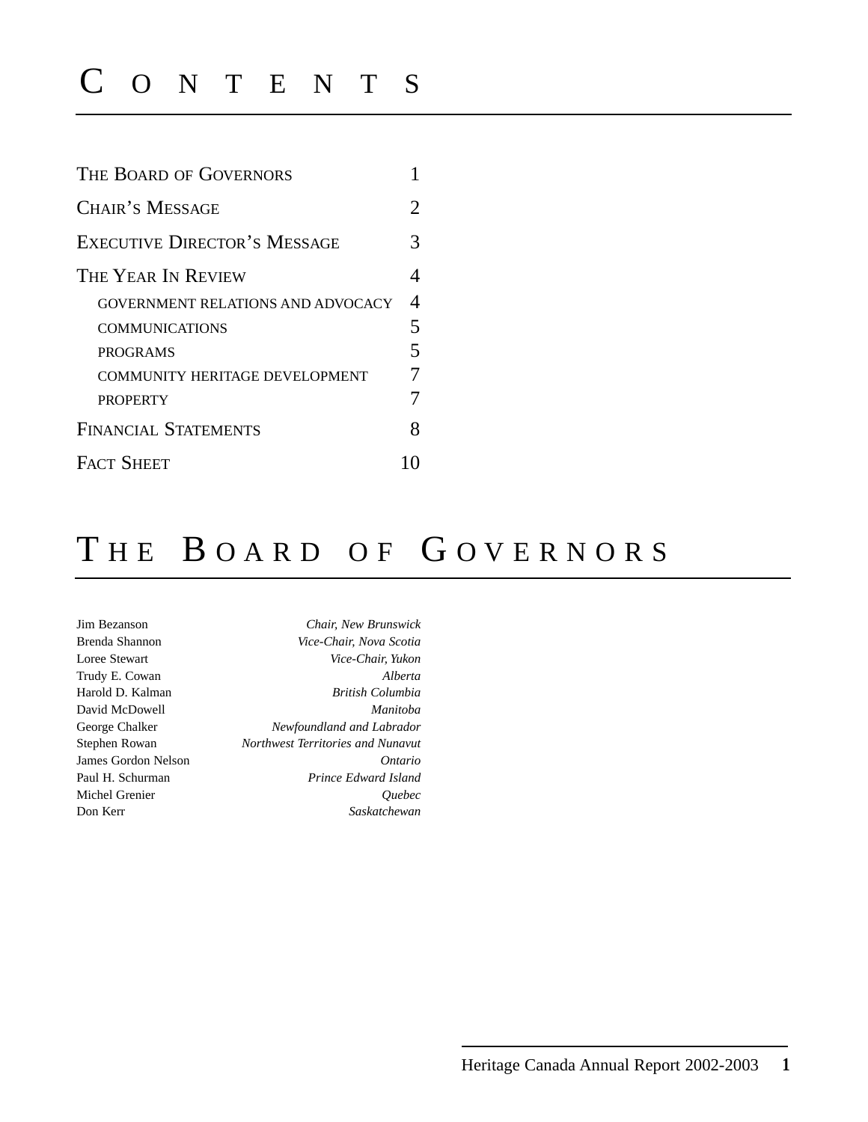| THE BOARD OF GOVERNORS                   |                |
|------------------------------------------|----------------|
| CHAIR'S MESSAGE                          | 2              |
| <b>EXECUTIVE DIRECTOR'S MESSAGE</b>      | 3              |
| THE YEAR IN REVIEW                       |                |
| <b>GOVERNMENT RELATIONS AND ADVOCACY</b> | $\overline{4}$ |
| <b>COMMUNICATIONS</b>                    | 5              |
| <b>PROGRAMS</b>                          | 5              |
| <b>COMMUNITY HERITAGE DEVELOPMENT</b>    |                |
| <b>PROPERTY</b>                          |                |
| <b>FINANCIAL STATEMENTS</b>              | 8              |
| <b>FACT SHEET</b>                        |                |

# THE BOARD OF GOVERNORS

Jim Bezanson *Chair, New Brunswick* 

Brenda Shannon *Vice-Chair, Nova Scotia*  Loree Stewart *Vice-Chair, Yukon* Trudy E. Cowan *Alberta* Harold D. Kalman *British Columbia* David McDowell *Manitoba*  George Chalker *Newfoundland and Labrador* Stephen Rowan *Northwest Territories and Nunavut* James Gordon Nelson *Ontario*  Paul H. Schurman *Prince Edward Island* Michel Grenier *Quebec* Don Kerr *Saskatchewan*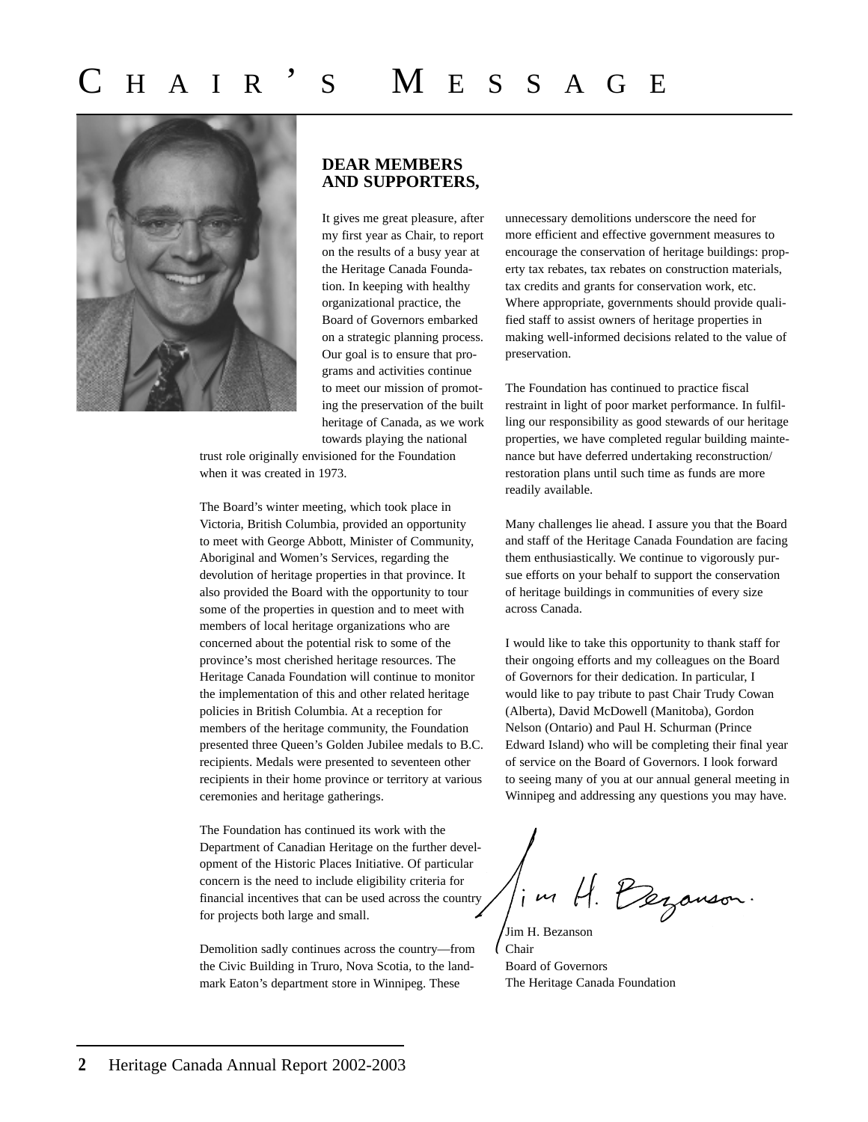

## **DEAR MEMBERS AND SUPPORTERS,**

It gives me great pleasure, after my first year as Chair, to report on the results of a busy year at the Heritage Canada Foundation. In keeping with healthy organizational practice, the Board of Governors embarked on a strategic planning process. Our goal is to ensure that programs and activities continue to meet our mission of promoting the preservation of the built heritage of Canada, as we work towards playing the national

trust role originally envisioned for the Foundation when it was created in 1973.

The Board's winter meeting, which took place in Victoria, British Columbia, provided an opportunity to meet with George Abbott, Minister of Community, Aboriginal and Women's Services, regarding the devolution of heritage properties in that province. It also provided the Board with the opportunity to tour some of the properties in question and to meet with members of local heritage organizations who are concerned about the potential risk to some of the province's most cherished heritage resources. The Heritage Canada Foundation will continue to monitor the implementation of this and other related heritage policies in British Columbia. At a reception for members of the heritage community, the Foundation presented three Queen's Golden Jubilee medals to B.C. recipients. Medals were presented to seventeen other recipients in their home province or territory at various ceremonies and heritage gatherings.

The Foundation has continued its work with the Department of Canadian Heritage on the further development of the Historic Places Initiative. Of particular concern is the need to include eligibility criteria for financial incentives that can be used across the country for projects both large and small.

Demolition sadly continues across the country—from the Civic Building in Truro, Nova Scotia, to the landmark Eaton's department store in Winnipeg. These

unnecessary demolitions underscore the need for more efficient and effective government measures to encourage the conservation of heritage buildings: property tax rebates, tax rebates on construction materials, tax credits and grants for conservation work, etc. Where appropriate, governments should provide qualified staff to assist owners of heritage properties in making well-informed decisions related to the value of preservation.

The Foundation has continued to practice fiscal restraint in light of poor market performance. In fulfilling our responsibility as good stewards of our heritage properties, we have completed regular building maintenance but have deferred undertaking reconstruction/ restoration plans until such time as funds are more readily available.

Many challenges lie ahead. I assure you that the Board and staff of the Heritage Canada Foundation are facing them enthusiastically. We continue to vigorously pursue efforts on your behalf to support the conservation of heritage buildings in communities of every size across Canada.

I would like to take this opportunity to thank staff for their ongoing efforts and my colleagues on the Board of Governors for their dedication. In particular, I would like to pay tribute to past Chair Trudy Cowan (Alberta), David McDowell (Manitoba), Gordon Nelson (Ontario) and Paul H. Schurman (Prince Edward Island) who will be completing their final year of service on the Board of Governors. I look forward to seeing many of you at our annual general meeting in Winnipeg and addressing any questions you may have.

im H. Bezanson.

Jim H. Bezanson Chair Board of Governors The Heritage Canada Foundation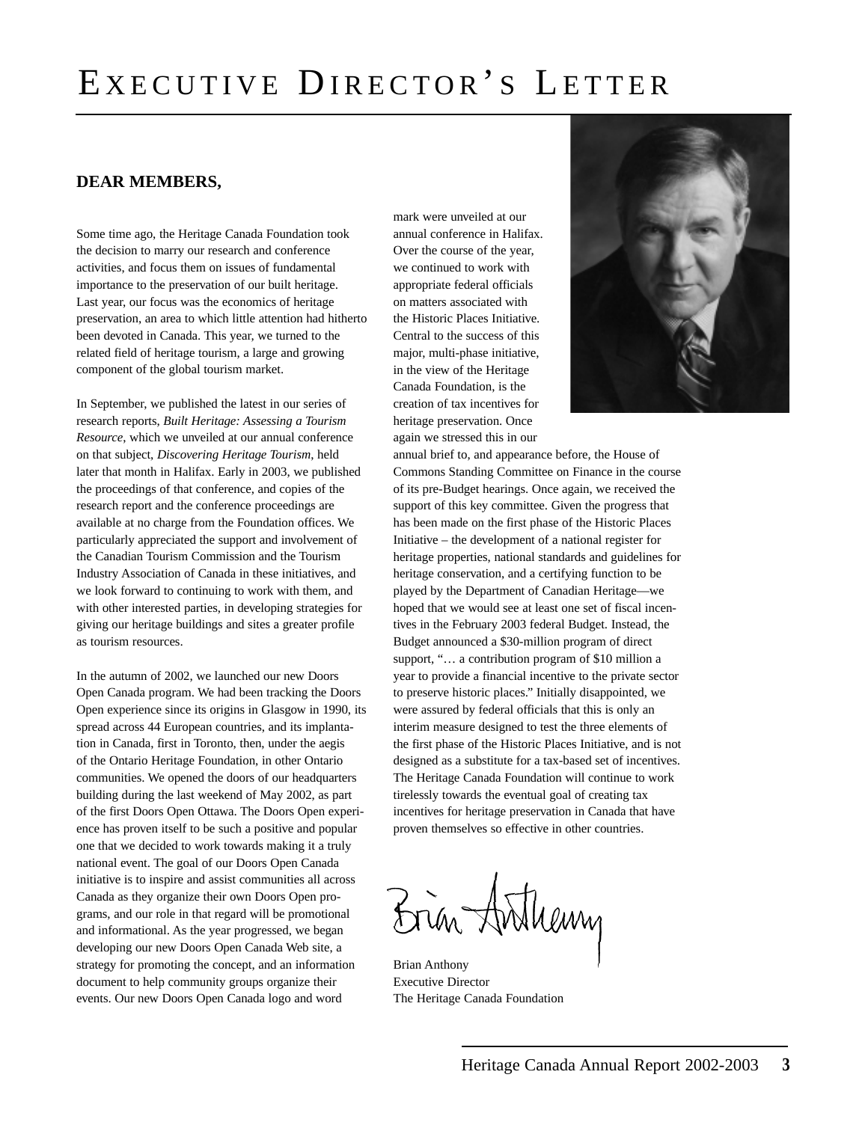# **DEAR MEMBERS,**

Some time ago, the Heritage Canada Foundation took the decision to marry our research and conference activities, and focus them on issues of fundamental importance to the preservation of our built heritage. Last year, our focus was the economics of heritage preservation, an area to which little attention had hitherto been devoted in Canada. This year, we turned to the related field of heritage tourism, a large and growing component of the global tourism market.

In September, we published the latest in our series of research reports, *Built Heritage: Assessing a Tourism Resource*, which we unveiled at our annual conference on that subject, *Discovering Heritage Tourism*, held later that month in Halifax. Early in 2003, we published the proceedings of that conference, and copies of the research report and the conference proceedings are available at no charge from the Foundation offices. We particularly appreciated the support and involvement of the Canadian Tourism Commission and the Tourism Industry Association of Canada in these initiatives, and we look forward to continuing to work with them, and with other interested parties, in developing strategies for giving our heritage buildings and sites a greater profile as tourism resources.

In the autumn of 2002, we launched our new Doors Open Canada program. We had been tracking the Doors Open experience since its origins in Glasgow in 1990, its spread across 44 European countries, and its implantation in Canada, first in Toronto, then, under the aegis of the Ontario Heritage Foundation, in other Ontario communities. We opened the doors of our headquarters building during the last weekend of May 2002, as part of the first Doors Open Ottawa. The Doors Open experience has proven itself to be such a positive and popular one that we decided to work towards making it a truly national event. The goal of our Doors Open Canada initiative is to inspire and assist communities all across Canada as they organize their own Doors Open programs, and our role in that regard will be promotional and informational. As the year progressed, we began developing our new Doors Open Canada Web site, a strategy for promoting the concept, and an information document to help community groups organize their events. Our new Doors Open Canada logo and word

mark were unveiled at our annual conference in Halifax. Over the course of the year, we continued to work with appropriate federal officials on matters associated with the Historic Places Initiative. Central to the success of this major, multi-phase initiative, in the view of the Heritage Canada Foundation, is the creation of tax incentives for heritage preservation. Once again we stressed this in our



annual brief to, and appearance before, the House of Commons Standing Committee on Finance in the course of its pre-Budget hearings. Once again, we received the support of this key committee. Given the progress that has been made on the first phase of the Historic Places Initiative – the development of a national register for heritage properties, national standards and guidelines for heritage conservation, and a certifying function to be played by the Department of Canadian Heritage—we hoped that we would see at least one set of fiscal incentives in the February 2003 federal Budget. Instead, the Budget announced a \$30-million program of direct support, "… a contribution program of \$10 million a year to provide a financial incentive to the private sector to preserve historic places." Initially disappointed, we were assured by federal officials that this is only an interim measure designed to test the three elements of the first phase of the Historic Places Initiative, and is not designed as a substitute for a tax-based set of incentives. The Heritage Canada Foundation will continue to work tirelessly towards the eventual goal of creating tax incentives for heritage preservation in Canada that have proven themselves so effective in other countries.

Brin Anthemy

Brian Anthony Executive Director The Heritage Canada Foundation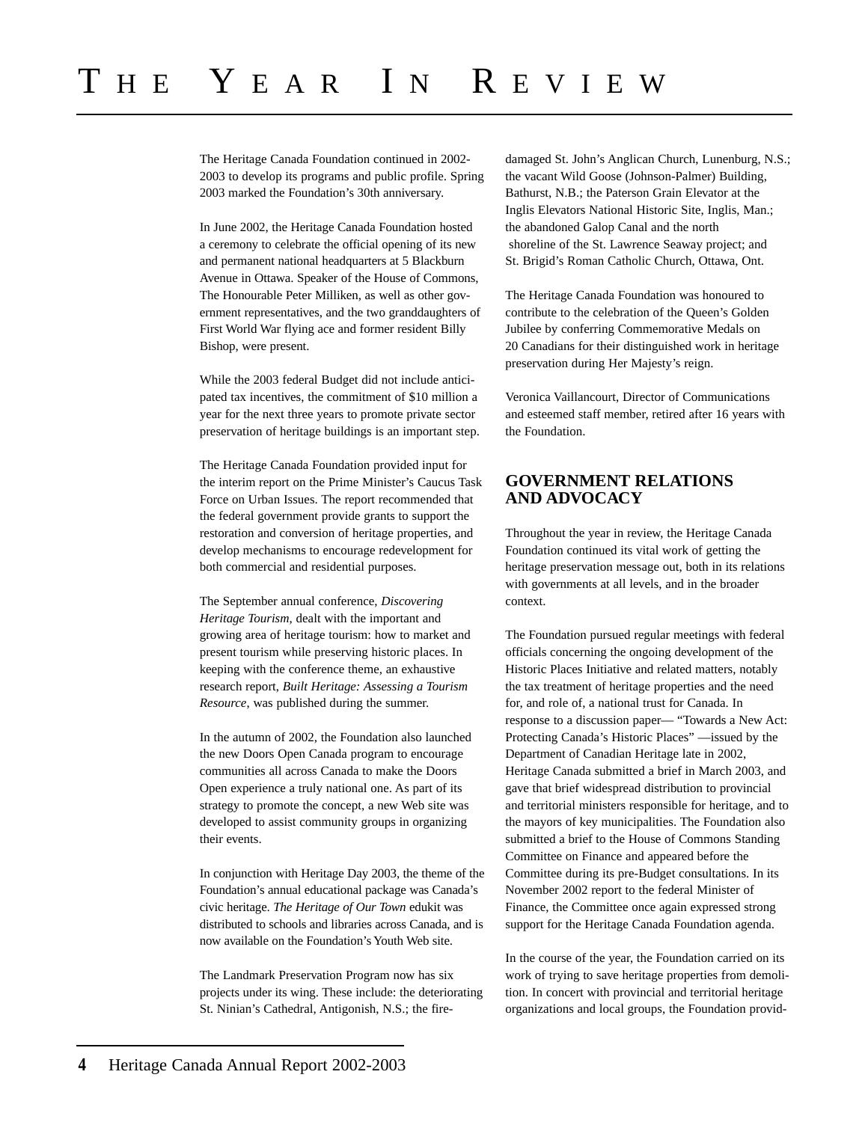The Heritage Canada Foundation continued in 2002- 2003 to develop its programs and public profile. Spring 2003 marked the Foundation's 30th anniversary.

In June 2002, the Heritage Canada Foundation hosted a ceremony to celebrate the official opening of its new and permanent national headquarters at 5 Blackburn Avenue in Ottawa. Speaker of the House of Commons, The Honourable Peter Milliken, as well as other government representatives, and the two granddaughters of First World War flying ace and former resident Billy Bishop, were present.

While the 2003 federal Budget did not include anticipated tax incentives, the commitment of \$10 million a year for the next three years to promote private sector preservation of heritage buildings is an important step.

The Heritage Canada Foundation provided input for the interim report on the Prime Minister's Caucus Task Force on Urban Issues. The report recommended that the federal government provide grants to support the restoration and conversion of heritage properties, and develop mechanisms to encourage redevelopment for both commercial and residential purposes.

The September annual conference, *Discovering Heritage Tourism*, dealt with the important and growing area of heritage tourism: how to market and present tourism while preserving historic places. In keeping with the conference theme, an exhaustive research report, *Built Heritage: Assessing a Tourism Resource*, was published during the summer.

In the autumn of 2002, the Foundation also launched the new Doors Open Canada program to encourage communities all across Canada to make the Doors Open experience a truly national one. As part of its strategy to promote the concept, a new Web site was developed to assist community groups in organizing their events.

In conjunction with Heritage Day 2003, the theme of the Foundation's annual educational package was Canada's civic heritage. *The Heritage of Our Town* edukit was distributed to schools and libraries across Canada, and is now available on the Foundation's Youth Web site.

The Landmark Preservation Program now has six projects under its wing. These include: the deteriorating St. Ninian's Cathedral, Antigonish, N.S.; the firedamaged St. John's Anglican Church, Lunenburg, N.S.; the vacant Wild Goose (Johnson-Palmer) Building, Bathurst, N.B.; the Paterson Grain Elevator at the Inglis Elevators National Historic Site, Inglis, Man.; the abandoned Galop Canal and the north shoreline of the St. Lawrence Seaway project; and St. Brigid's Roman Catholic Church, Ottawa, Ont.

The Heritage Canada Foundation was honoured to contribute to the celebration of the Queen's Golden Jubilee by conferring Commemorative Medals on 20 Canadians for their distinguished work in heritage preservation during Her Majesty's reign.

Veronica Vaillancourt, Director of Communications and esteemed staff member, retired after 16 years with the Foundation.

# **GOVERNMENT RELATIONS AND ADVOCACY**

Throughout the year in review, the Heritage Canada Foundation continued its vital work of getting the heritage preservation message out, both in its relations with governments at all levels, and in the broader context.

The Foundation pursued regular meetings with federal officials concerning the ongoing development of the Historic Places Initiative and related matters, notably the tax treatment of heritage properties and the need for, and role of, a national trust for Canada. In response to a discussion paper— "Towards a New Act: Protecting Canada's Historic Places" —issued by the Department of Canadian Heritage late in 2002, Heritage Canada submitted a brief in March 2003, and gave that brief widespread distribution to provincial and territorial ministers responsible for heritage, and to the mayors of key municipalities. The Foundation also submitted a brief to the House of Commons Standing Committee on Finance and appeared before the Committee during its pre-Budget consultations. In its November 2002 report to the federal Minister of Finance, the Committee once again expressed strong support for the Heritage Canada Foundation agenda.

In the course of the year, the Foundation carried on its work of trying to save heritage properties from demolition. In concert with provincial and territorial heritage organizations and local groups, the Foundation provid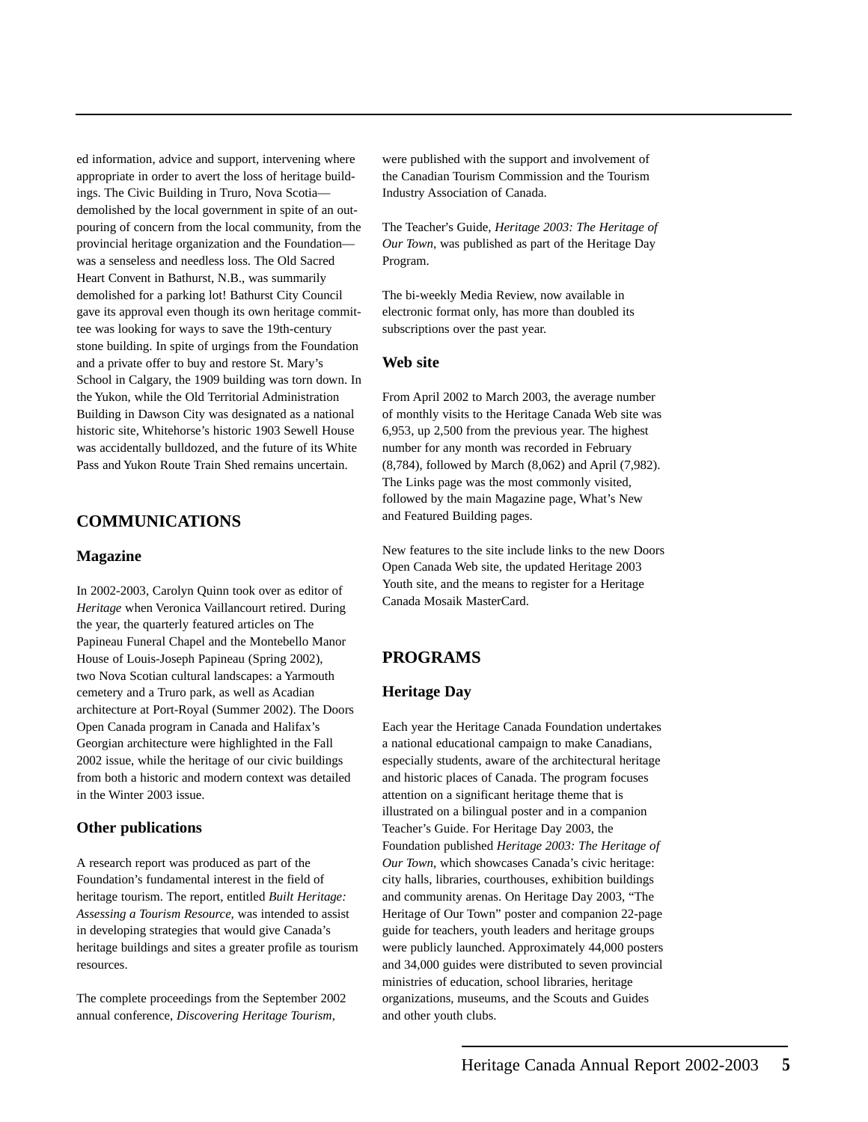ed information, advice and support, intervening where appropriate in order to avert the loss of heritage buildings. The Civic Building in Truro, Nova Scotia demolished by the local government in spite of an outpouring of concern from the local community, from the provincial heritage organization and the Foundation was a senseless and needless loss. The Old Sacred Heart Convent in Bathurst, N.B., was summarily demolished for a parking lot! Bathurst City Council gave its approval even though its own heritage committee was looking for ways to save the 19th-century stone building. In spite of urgings from the Foundation and a private offer to buy and restore St. Mary's School in Calgary, the 1909 building was torn down. In the Yukon, while the Old Territorial Administration Building in Dawson City was designated as a national historic site, Whitehorse's historic 1903 Sewell House was accidentally bulldozed, and the future of its White Pass and Yukon Route Train Shed remains uncertain.

## **COMMUNICATIONS**

#### **Magazine**

In 2002-2003, Carolyn Quinn took over as editor of *Heritage* when Veronica Vaillancourt retired. During the year, the quarterly featured articles on The Papineau Funeral Chapel and the Montebello Manor House of Louis-Joseph Papineau (Spring 2002), two Nova Scotian cultural landscapes: a Yarmouth cemetery and a Truro park, as well as Acadian architecture at Port-Royal (Summer 2002). The Doors Open Canada program in Canada and Halifax's Georgian architecture were highlighted in the Fall 2002 issue, while the heritage of our civic buildings from both a historic and modern context was detailed in the Winter 2003 issue.

#### **Other publications**

A research report was produced as part of the Foundation's fundamental interest in the field of heritage tourism. The report, entitled *Built Heritage: Assessing a Tourism Resource,* was intended to assist in developing strategies that would give Canada's heritage buildings and sites a greater profile as tourism resources.

The complete proceedings from the September 2002 annual conference, *Discovering Heritage Tourism*,

were published with the support and involvement of the Canadian Tourism Commission and the Tourism Industry Association of Canada.

The Teacher's Guide, *Heritage 2003: The Heritage of Our Town*, was published as part of the Heritage Day Program.

The bi-weekly Media Review, now available in electronic format only, has more than doubled its subscriptions over the past year.

#### **Web site**

From April 2002 to March 2003, the average number of monthly visits to the Heritage Canada Web site was 6,953, up 2,500 from the previous year. The highest number for any month was recorded in February (8,784), followed by March (8,062) and April (7,982). The Links page was the most commonly visited, followed by the main Magazine page, What's New and Featured Building pages.

New features to the site include links to the new Doors Open Canada Web site, the updated Heritage 2003 Youth site, and the means to register for a Heritage Canada Mosaik MasterCard.

## **PROGRAMS**

#### **Heritage Day**

Each year the Heritage Canada Foundation undertakes a national educational campaign to make Canadians, especially students, aware of the architectural heritage and historic places of Canada. The program focuses attention on a significant heritage theme that is illustrated on a bilingual poster and in a companion Teacher's Guide. For Heritage Day 2003, the Foundation published *Heritage 2003: The Heritage of Our Town*, which showcases Canada's civic heritage: city halls, libraries, courthouses, exhibition buildings and community arenas. On Heritage Day 2003, "The Heritage of Our Town" poster and companion 22-page guide for teachers, youth leaders and heritage groups were publicly launched. Approximately 44,000 posters and 34,000 guides were distributed to seven provincial ministries of education, school libraries, heritage organizations, museums, and the Scouts and Guides and other youth clubs.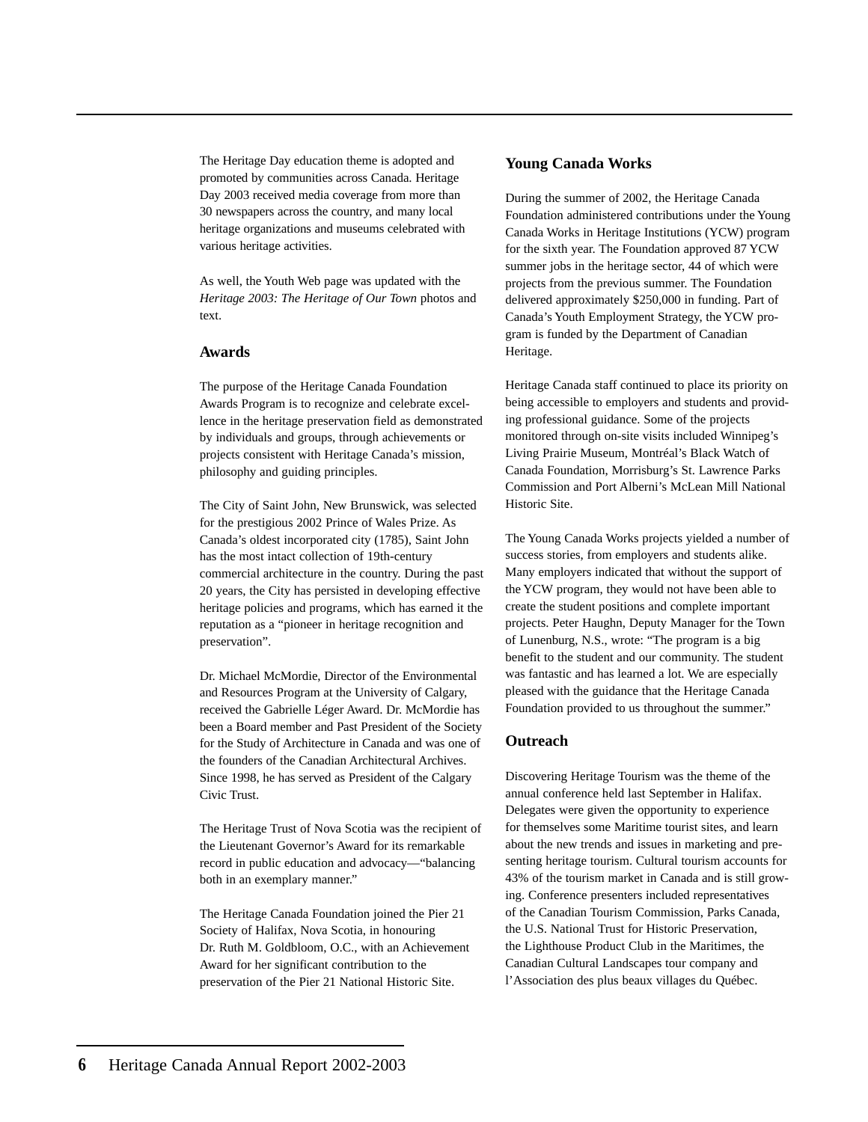The Heritage Day education theme is adopted and promoted by communities across Canada. Heritage Day 2003 received media coverage from more than 30 newspapers across the country, and many local heritage organizations and museums celebrated with various heritage activities.

As well, the Youth Web page was updated with the *Heritage 2003: The Heritage of Our Town* photos and text.

### **Awards**

The purpose of the Heritage Canada Foundation Awards Program is to recognize and celebrate excellence in the heritage preservation field as demonstrated by individuals and groups, through achievements or projects consistent with Heritage Canada's mission, philosophy and guiding principles.

The City of Saint John, New Brunswick, was selected for the prestigious 2002 Prince of Wales Prize. As Canada's oldest incorporated city (1785), Saint John has the most intact collection of 19th-century commercial architecture in the country. During the past 20 years, the City has persisted in developing effective heritage policies and programs, which has earned it the reputation as a "pioneer in heritage recognition and preservation".

Dr. Michael McMordie, Director of the Environmental and Resources Program at the University of Calgary, received the Gabrielle Léger Award. Dr. McMordie has been a Board member and Past President of the Society for the Study of Architecture in Canada and was one of the founders of the Canadian Architectural Archives. Since 1998, he has served as President of the Calgary Civic Trust.

The Heritage Trust of Nova Scotia was the recipient of the Lieutenant Governor's Award for its remarkable record in public education and advocacy—"balancing both in an exemplary manner."

The Heritage Canada Foundation joined the Pier 21 Society of Halifax, Nova Scotia, in honouring Dr. Ruth M. Goldbloom, O.C., with an Achievement Award for her significant contribution to the preservation of the Pier 21 National Historic Site.

## **Young Canada Works**

During the summer of 2002, the Heritage Canada Foundation administered contributions under the Young Canada Works in Heritage Institutions (YCW) program for the sixth year. The Foundation approved 87 YCW summer jobs in the heritage sector, 44 of which were projects from the previous summer. The Foundation delivered approximately \$250,000 in funding. Part of Canada's Youth Employment Strategy, the YCW program is funded by the Department of Canadian Heritage.

Heritage Canada staff continued to place its priority on being accessible to employers and students and providing professional guidance. Some of the projects monitored through on-site visits included Winnipeg's Living Prairie Museum, Montréal's Black Watch of Canada Foundation, Morrisburg's St. Lawrence Parks Commission and Port Alberni's McLean Mill National Historic Site.

The Young Canada Works projects yielded a number of success stories, from employers and students alike. Many employers indicated that without the support of the YCW program, they would not have been able to create the student positions and complete important projects. Peter Haughn, Deputy Manager for the Town of Lunenburg, N.S., wrote: "The program is a big benefit to the student and our community. The student was fantastic and has learned a lot. We are especially pleased with the guidance that the Heritage Canada Foundation provided to us throughout the summer."

## **Outreach**

Discovering Heritage Tourism was the theme of the annual conference held last September in Halifax. Delegates were given the opportunity to experience for themselves some Maritime tourist sites, and learn about the new trends and issues in marketing and presenting heritage tourism. Cultural tourism accounts for 43% of the tourism market in Canada and is still growing. Conference presenters included representatives of the Canadian Tourism Commission, Parks Canada, the U.S. National Trust for Historic Preservation, the Lighthouse Product Club in the Maritimes, the Canadian Cultural Landscapes tour company and l'Association des plus beaux villages du Québec.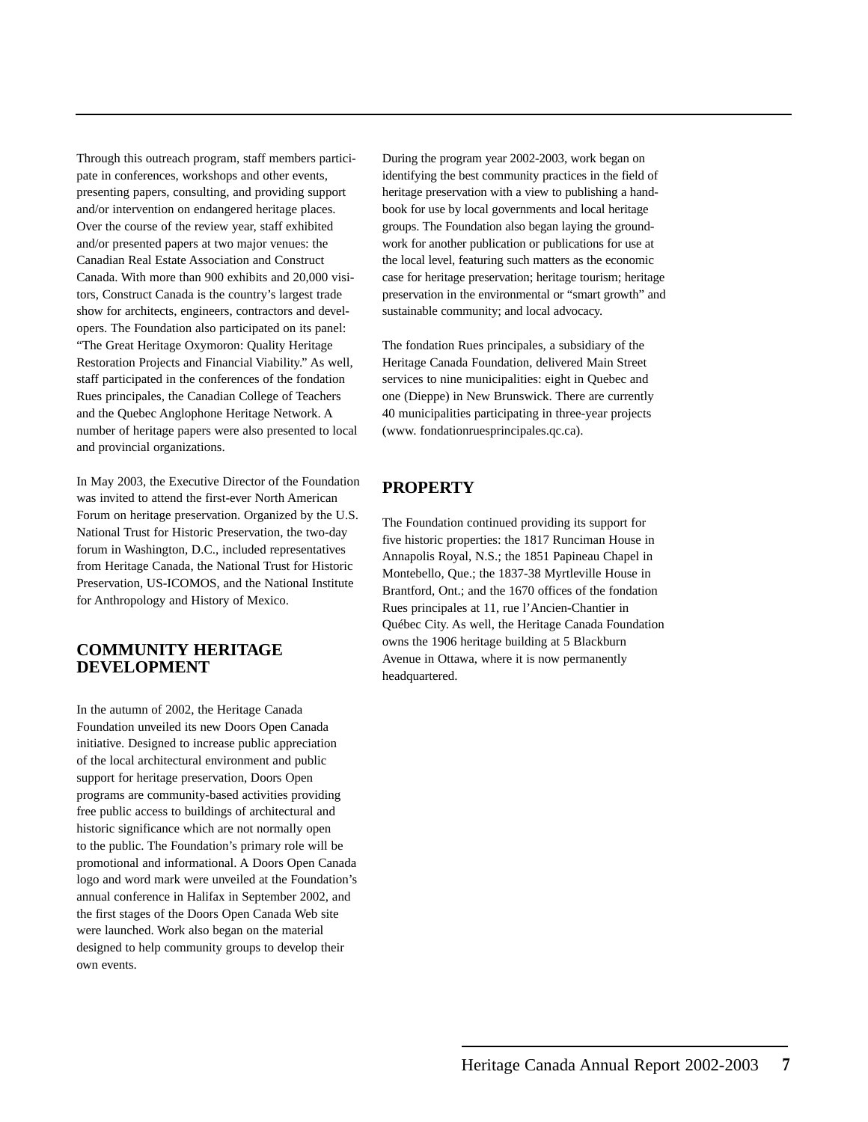Through this outreach program, staff members participate in conferences, workshops and other events, presenting papers, consulting, and providing support and/or intervention on endangered heritage places. Over the course of the review year, staff exhibited and/or presented papers at two major venues: the Canadian Real Estate Association and Construct Canada. With more than 900 exhibits and 20,000 visitors, Construct Canada is the country's largest trade show for architects, engineers, contractors and developers. The Foundation also participated on its panel: "The Great Heritage Oxymoron: Quality Heritage Restoration Projects and Financial Viability." As well, staff participated in the conferences of the fondation Rues principales, the Canadian College of Teachers and the Quebec Anglophone Heritage Network. A number of heritage papers were also presented to local and provincial organizations.

In May 2003, the Executive Director of the Foundation was invited to attend the first-ever North American Forum on heritage preservation. Organized by the U.S. National Trust for Historic Preservation, the two-day forum in Washington, D.C., included representatives from Heritage Canada, the National Trust for Historic Preservation, US-ICOMOS, and the National Institute for Anthropology and History of Mexico.

## **COMMUNITY HERITAGE DEVELOPMENT**

In the autumn of 2002, the Heritage Canada Foundation unveiled its new Doors Open Canada initiative. Designed to increase public appreciation of the local architectural environment and public support for heritage preservation, Doors Open programs are community-based activities providing free public access to buildings of architectural and historic significance which are not normally open to the public. The Foundation's primary role will be promotional and informational. A Doors Open Canada logo and word mark were unveiled at the Foundation's annual conference in Halifax in September 2002, and the first stages of the Doors Open Canada Web site were launched. Work also began on the material designed to help community groups to develop their own events.

During the program year 2002-2003, work began on identifying the best community practices in the field of heritage preservation with a view to publishing a handbook for use by local governments and local heritage groups. The Foundation also began laying the groundwork for another publication or publications for use at the local level, featuring such matters as the economic case for heritage preservation; heritage tourism; heritage preservation in the environmental or "smart growth" and sustainable community; and local advocacy.

The fondation Rues principales, a subsidiary of the Heritage Canada Foundation, delivered Main Street services to nine municipalities: eight in Quebec and one (Dieppe) in New Brunswick. There are currently 40 municipalities participating in three-year projects (www. fondationruesprincipales.qc.ca).

# **PROPERTY**

The Foundation continued providing its support for five historic properties: the 1817 Runciman House in Annapolis Royal, N.S.; the 1851 Papineau Chapel in Montebello, Que.; the 1837-38 Myrtleville House in Brantford, Ont.; and the 1670 offices of the fondation Rues principales at 11, rue l'Ancien-Chantier in Québec City. As well, the Heritage Canada Foundation owns the 1906 heritage building at 5 Blackburn Avenue in Ottawa, where it is now permanently headquartered.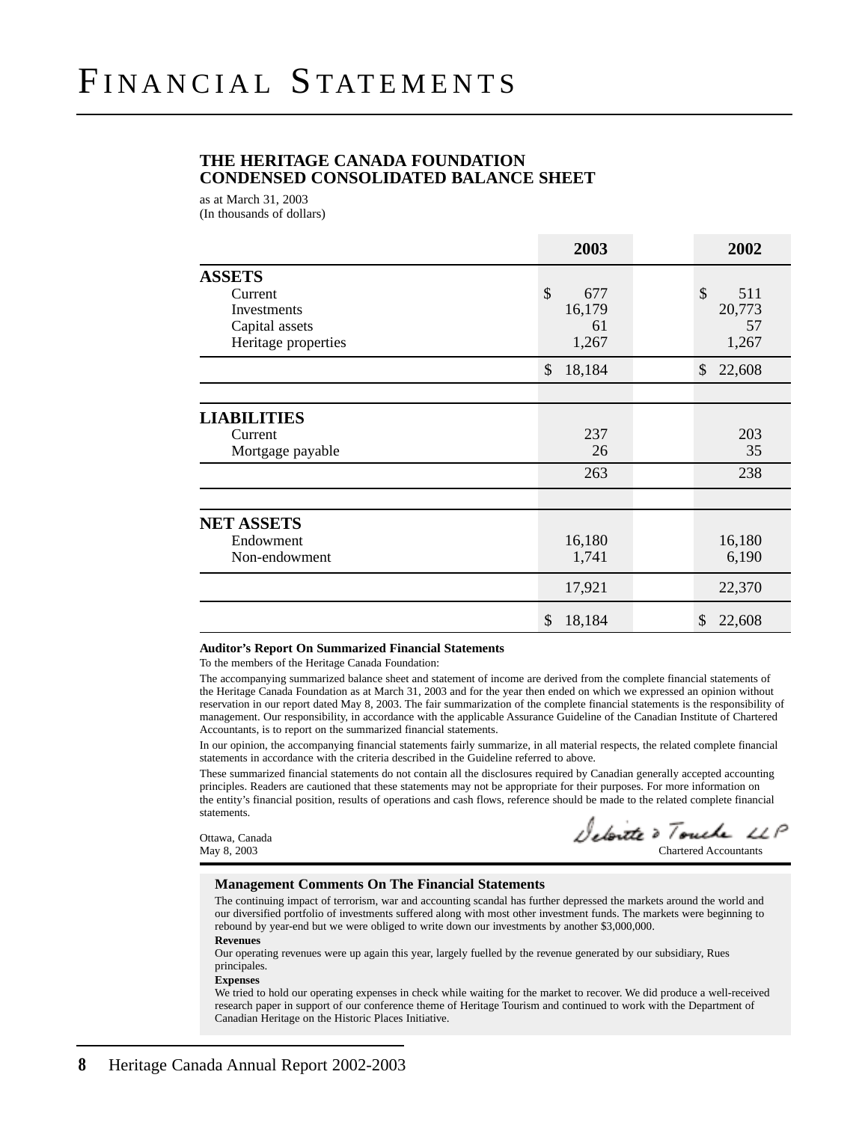## **THE HERITAGE CANADA FOUNDATION CONDENSED CONSOLIDATED BALANCE SHEET**

as at March 31, 2003

(In thousands of dollars)

|                                                                                  | 2003                               | 2002                                          |
|----------------------------------------------------------------------------------|------------------------------------|-----------------------------------------------|
| <b>ASSETS</b><br>Current<br>Investments<br>Capital assets<br>Heritage properties | \$<br>677<br>16,179<br>61<br>1,267 | $\mathcal{S}$<br>511<br>20,773<br>57<br>1,267 |
|                                                                                  | \$<br>18,184                       | \$<br>22,608                                  |
|                                                                                  |                                    |                                               |
| <b>LIABILITIES</b><br>Current<br>Mortgage payable                                | 237<br>26<br>263                   | 203<br>35<br>238                              |
|                                                                                  |                                    |                                               |
| <b>NET ASSETS</b><br>Endowment<br>Non-endowment                                  | 16,180<br>1,741                    | 16,180<br>6,190                               |
|                                                                                  | 17,921                             | 22,370                                        |
|                                                                                  | \$<br>18,184                       | \$<br>22,608                                  |

#### **Auditor's Report On Summarized Financial Statements**

To the members of the Heritage Canada Foundation:

The accompanying summarized balance sheet and statement of income are derived from the complete financial statements of the Heritage Canada Foundation as at March 31, 2003 and for the year then ended on which we expressed an opinion without reservation in our report dated May 8, 2003. The fair summarization of the complete financial statements is the responsibility of management. Our responsibility, in accordance with the applicable Assurance Guideline of the Canadian Institute of Chartered Accountants, is to report on the summarized financial statements.

In our opinion, the accompanying financial statements fairly summarize, in all material respects, the related complete financial statements in accordance with the criteria described in the Guideline referred to above.

These summarized financial statements do not contain all the disclosures required by Canadian generally accepted accounting principles. Readers are cautioned that these statements may not be appropriate for their purposes. For more information on the entity's financial position, results of operations and cash flows, reference should be made to the related complete financial statements.

Ottawa, Canada

Defecte & Touche LLP

May 8, 2003 Chartered Accountants

#### **Management Comments On The Financial Statements**

The continuing impact of terrorism, war and accounting scandal has further depressed the markets around the world and our diversified portfolio of investments suffered along with most other investment funds. The markets were beginning to rebound by year-end but we were obliged to write down our investments by another \$3,000,000. **Revenues**

Our operating revenues were up again this year, largely fuelled by the revenue generated by our subsidiary, Rues principales.

**Expenses**

We tried to hold our operating expenses in check while waiting for the market to recover. We did produce a well-received research paper in support of our conference theme of Heritage Tourism and continued to work with the Department of Canadian Heritage on the Historic Places Initiative.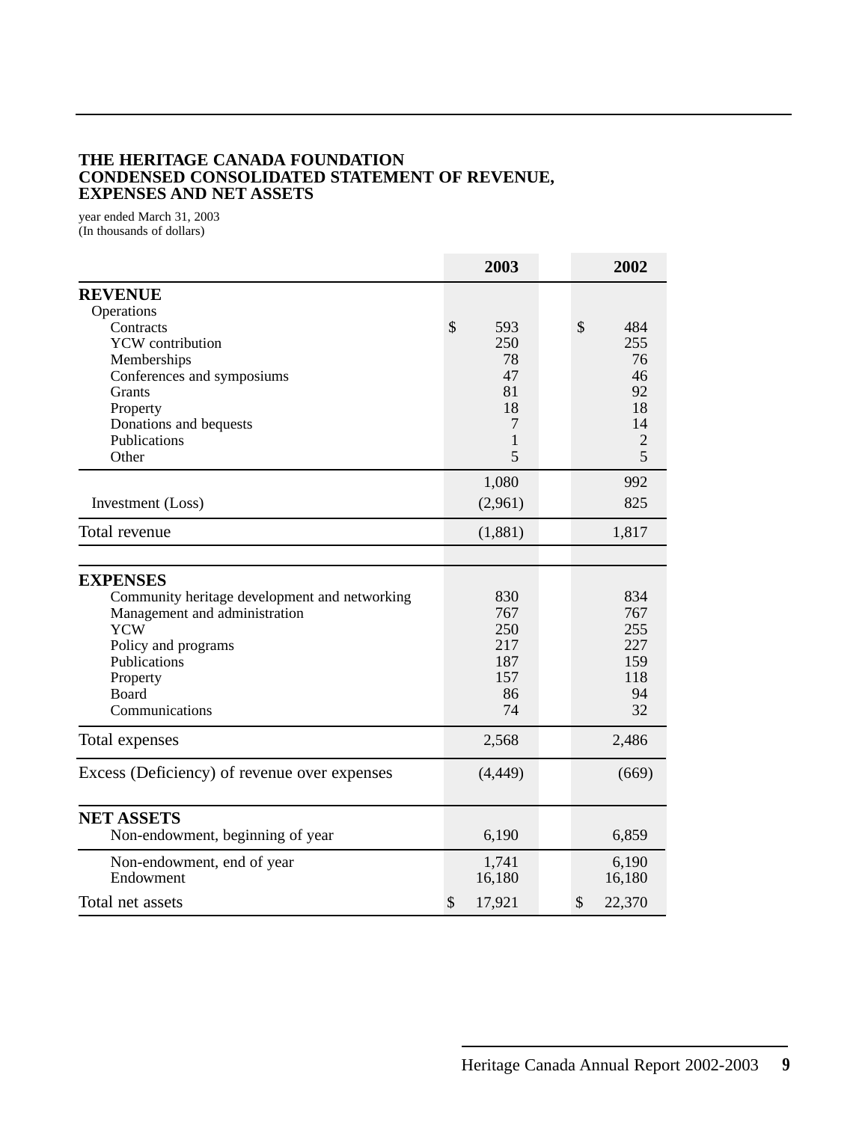# **THE HERITAGE CANADA FOUNDATION CONDENSED CONSOLIDATED STATEMENT OF REVENUE, EXPENSES AND NET ASSETS**

year ended March 31, 2003 (In thousands of dollars)

|                                                                                                                                                                                               | 2003                                               | 2002                                               |
|-----------------------------------------------------------------------------------------------------------------------------------------------------------------------------------------------|----------------------------------------------------|----------------------------------------------------|
| <b>REVENUE</b><br>Operations<br>Contracts<br><b>YCW</b> contribution<br>Memberships<br>Conferences and symposiums<br>Grants                                                                   | \$<br>593<br>250<br>78<br>47<br>81                 | \$<br>484<br>255<br>76<br>46<br>92                 |
| Property<br>Donations and bequests<br>Publications<br>Other                                                                                                                                   | 18<br>7<br>1<br>5                                  | 18<br>14<br>$\overline{c}$<br>5                    |
| Investment (Loss)                                                                                                                                                                             | 1,080<br>(2,961)                                   | 992<br>825                                         |
| Total revenue                                                                                                                                                                                 | (1,881)                                            | 1,817                                              |
| <b>EXPENSES</b><br>Community heritage development and networking<br>Management and administration<br><b>YCW</b><br>Policy and programs<br>Publications<br>Property<br>Board<br>Communications | 830<br>767<br>250<br>217<br>187<br>157<br>86<br>74 | 834<br>767<br>255<br>227<br>159<br>118<br>94<br>32 |
| Total expenses                                                                                                                                                                                | 2,568                                              | 2,486                                              |
| Excess (Deficiency) of revenue over expenses                                                                                                                                                  | (4, 449)                                           | (669)                                              |
| <b>NET ASSETS</b><br>Non-endowment, beginning of year                                                                                                                                         | 6,190                                              | 6,859                                              |
| Non-endowment, end of year<br>Endowment                                                                                                                                                       | 1,741<br>16,180                                    | 6,190<br>16,180                                    |
| Total net assets                                                                                                                                                                              | \$<br>17,921                                       | \$<br>22,370                                       |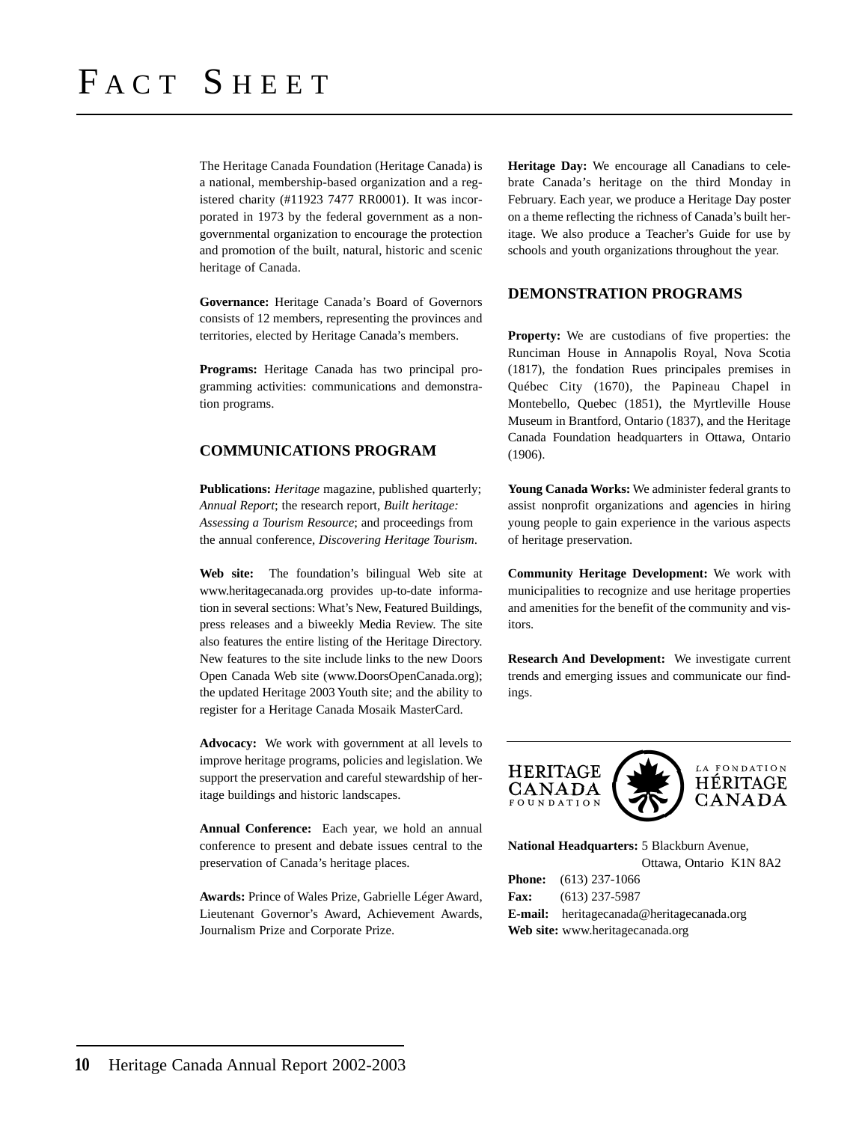The Heritage Canada Foundation (Heritage Canada) is a national, membership-based organization and a registered charity (#11923 7477 RR0001). It was incorporated in 1973 by the federal government as a nongovernmental organization to encourage the protection and promotion of the built, natural, historic and scenic heritage of Canada.

**Governance:** Heritage Canada's Board of Governors consists of 12 members, representing the provinces and territories, elected by Heritage Canada's members.

**Programs:** Heritage Canada has two principal programming activities: communications and demonstration programs.

## **COMMUNICATIONS PROGRAM**

**Publications:** *Heritage* magazine, published quarterly; *Annual Report*; the research report, *Built heritage: Assessing a Tourism Resource*; and proceedings from the annual conference, *Discovering Heritage Tourism*.

**Web site:** The foundation's bilingual Web site at www.heritagecanada.org provides up-to-date information in several sections: What's New, Featured Buildings, press releases and a biweekly Media Review. The site also features the entire listing of the Heritage Directory. New features to the site include links to the new Doors Open Canada Web site (www.DoorsOpenCanada.org); the updated Heritage 2003 Youth site; and the ability to register for a Heritage Canada Mosaik MasterCard.

**Advocacy:** We work with government at all levels to improve heritage programs, policies and legislation. We support the preservation and careful stewardship of heritage buildings and historic landscapes.

**Annual Conference:** Each year, we hold an annual conference to present and debate issues central to the preservation of Canada's heritage places.

**Awards:** Prince of Wales Prize, Gabrielle Léger Award, Lieutenant Governor's Award, Achievement Awards, Journalism Prize and Corporate Prize.

**Heritage Day:** We encourage all Canadians to celebrate Canada's heritage on the third Monday in February. Each year, we produce a Heritage Day poster on a theme reflecting the richness of Canada's built heritage. We also produce a Teacher's Guide for use by schools and youth organizations throughout the year.

#### **DEMONSTRATION PROGRAMS**

**Property:** We are custodians of five properties: the Runciman House in Annapolis Royal, Nova Scotia (1817), the fondation Rues principales premises in Québec City (1670), the Papineau Chapel in Montebello, Quebec (1851), the Myrtleville House Museum in Brantford, Ontario (1837), and the Heritage Canada Foundation headquarters in Ottawa, Ontario (1906).

**Young Canada Works:** We administer federal grants to assist nonprofit organizations and agencies in hiring young people to gain experience in the various aspects of heritage preservation.

**Community Heritage Development:** We work with municipalities to recognize and use heritage properties and amenities for the benefit of the community and visitors.

**Research And Development:** We investigate current trends and emerging issues and communicate our findings.



**National Headquarters:** 5 Blackburn Avenue, Ottawa, Ontario K1N 8A2

**Phone:** (613) 237-1066 **Fax:** (613) 237-5987 **E-mail:** heritagecanada@heritagecanada.org **Web site:** www.heritagecanada.org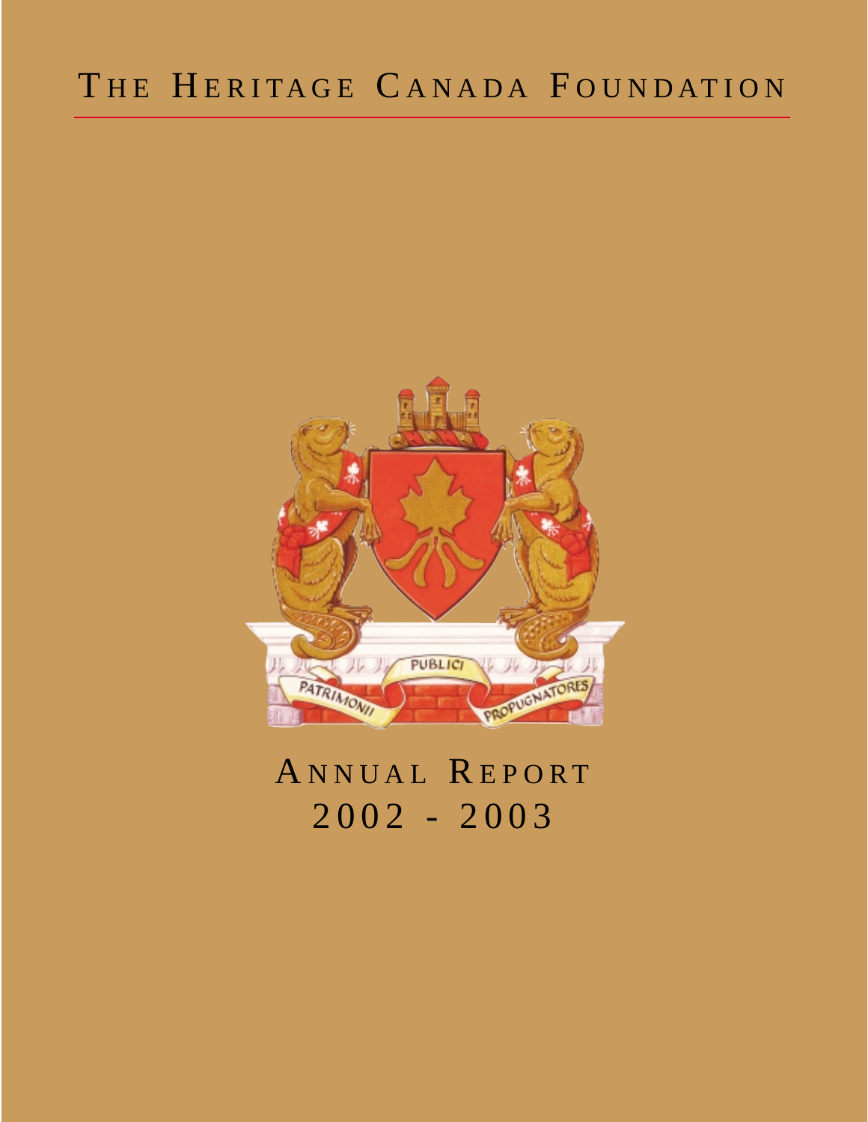# THE HERITAGE CANADA FOUNDATION



A NNUAL REPORT 2002 - 2003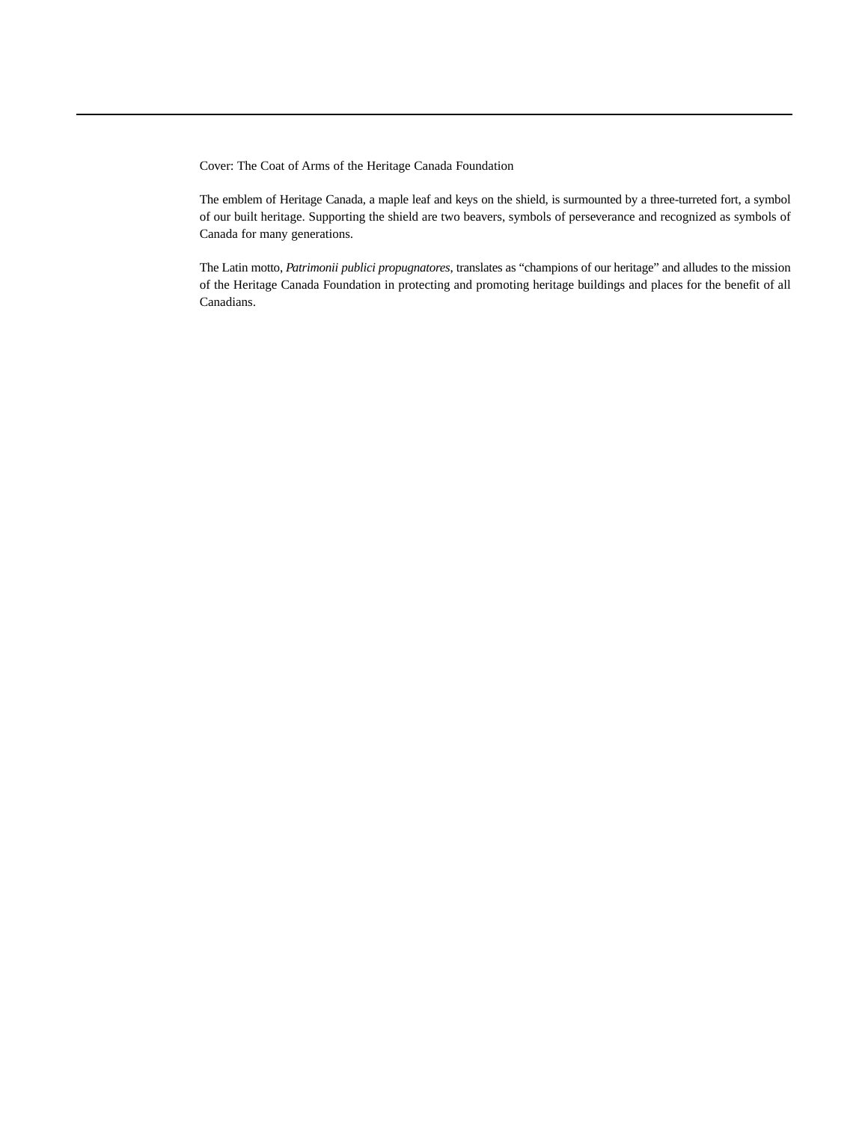Cover: The Coat of Arms of the Heritage Canada Foundation

The emblem of Heritage Canada, a maple leaf and keys on the shield, is surmounted by a three-turreted fort, a symbol of our built heritage. Supporting the shield are two beavers, symbols of perseverance and recognized as symbols of Canada for many generations.

The Latin motto, *Patrimonii publici propugnatores*, translates as "champions of our heritage" and alludes to the mission of the Heritage Canada Foundation in protecting and promoting heritage buildings and places for the benefit of all Canadians.